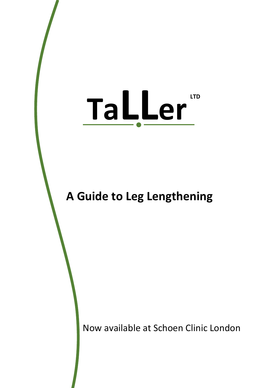# **TaLLer LTD**

## **A Guide to Leg Lengthening**

Now available at Schoen Clinic London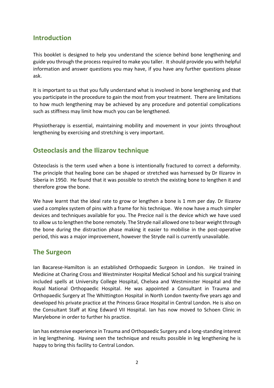## **Introduction**

This booklet is designed to help you understand the science behind bone lengthening and guide you through the process required to make you taller. It should provide you with helpful information and answer questions you may have, if you have any further questions please ask.

It is important to us that you fully understand what is involved in bone lengthening and that you participate in the procedure to gain the most from your treatment. There are limitations to how much lengthening may be achieved by any procedure and potential complications such as stiffness may limit how much you can be lengthened.

Physiotherapy is essential, maintaining mobility and movement in your joints throughout lengthening by exercising and stretching is very important.

## **Osteoclasis and the Ilizarov technique**

Osteoclasis is the term used when a bone is intentionally fractured to correct a deformity. The principle that healing bone can be shaped or stretched was harnessed by Dr Ilizarov in Siberia in 1950. He found that it was possible to stretch the existing bone to lengthen it and therefore grow the bone.

We have learnt that the ideal rate to grow or lengthen a bone is 1 mm per day. Dr Ilizarov used a complex system of pins with a frame for his technique. We now have a much simpler devices and techniques available for you. The Precice nail is the device which we have used to allow us to lengthen the bone remotely. The Stryde nail allowed one to bear weight through the bone during the distraction phase making it easier to mobilise in the post-operative period, this was a major improvement, however the Stryde nail is currently unavailable.

## **The Surgeon**

Ian Bacarese-Hamilton is an established Orthopaedic Surgeon in London. He trained in Medicine at Charing Cross and Westminster Hospital Medical School and his surgical training included spells at University College Hospital, Chelsea and Westminster Hospital and the Royal National Orthopaedic Hospital. He was appointed a Consultant in Trauma and Orthopaedic Surgery at The Whittington Hospital in North London twenty-five years ago and developed his private practice at the Princess Grace Hospital in Central London. He is also on the Consultant Staff at King Edward VII Hospital. Ian has now moved to Schoen Clinic in Marylebone in order to further his practice.

Ian has extensive experience in Trauma and Orthopaedic Surgery and a long-standing interest in leg lengthening. Having seen the technique and results possible in leg lengthening he is happy to bring this facility to Central London.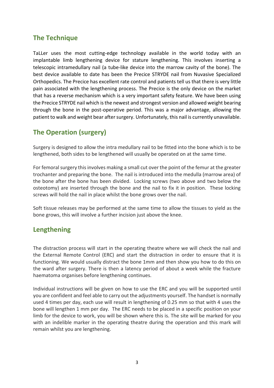## **The Technique**

TaLLer uses the most cutting-edge technology available in the world today with an implantable limb lengthening device for stature lengthening. This involves inserting a telescopic intramedullary nail (a tube-like device into the marrow cavity of the bone). The best device available to date has been the Precice STRYDE nail from Nuvasive Specialized Orthopedics. The Precice has excellent rate control and patients tell us that there is very little pain associated with the lengthening process. The Precice is the only device on the market that has a reverse mechanism which is a very important safety feature. We have been using the Precice STRYDE nail which is the newest and strongest version and allowed weight bearing through the bone in the post-operative period. This was a major advantage, allowing the patient to walk and weight bear after surgery. Unfortunately, this nail is currently unavailable.

## **The Operation (surgery)**

Surgery is designed to allow the intra medullary nail to be fitted into the bone which is to be lengthened, both sides to be lengthened will usually be operated on at the same time.

For femoral surgery this involves making a small cut over the point of the femur at the greater trochanter and preparing the bone. The nail is introduced into the medulla (marrow area) of the bone after the bone has been divided. Locking screws (two above and two below the osteotomy) are inserted through the bone and the nail to fix it in position. These locking screws will hold the nail in place whilst the bone grows over the nail.

Soft tissue releases may be performed at the same time to allow the tissues to yield as the bone grows, this will involve a further incision just above the knee.

## **Lengthening**

The distraction process will start in the operating theatre where we will check the nail and the External Remote Control (ERC) and start the distraction in order to ensure that it is functioning. We would usually distract the bone 1mm and then show you how to do this on the ward after surgery. There is then a latency period of about a week while the fracture haematoma organises before lengthening continues.

Individual instructions will be given on how to use the ERC and you will be supported until you are confident and feel able to carry out the adjustments yourself. The handset is normally used 4 times per day, each use will result in lengthening of 0.25 mm so that with 4 uses the bone will lengthen 1 mm per day. The ERC needs to be placed in a specific position on your limb for the device to work, you will be shown where this is. The site will be marked for you with an indelible marker in the operating theatre during the operation and this mark will remain whilst you are lengthening.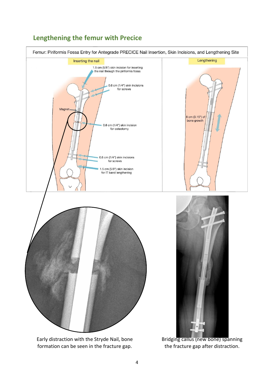

## **Lengthening the femur with Precice**

4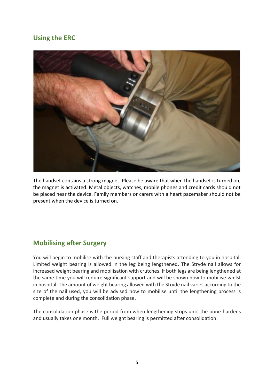## **Using the ERC**



The handset contains a strong magnet. Please be aware that when the handset is turned on, the magnet is activated. Metal objects, watches, mobile phones and credit cards should not be placed near the device. Family members or carers with a heart pacemaker should not be present when the device is turned on.

## **Mobilising after Surgery**

You will begin to mobilise with the nursing staff and therapists attending to you in hospital. Limited weight bearing is allowed in the leg being lengthened. The Stryde nail allows for increased weight bearing and mobilisation with crutches. If both legs are being lengthened at the same time you will require significant support and will be shown how to mobilise whilst in hospital. The amount of weight bearing allowed with the Stryde nail varies according to the size of the nail used, you will be advised how to mobilise until the lengthening process is complete and during the consolidation phase.

The consolidation phase is the period from when lengthening stops until the bone hardens and usually takes one month. Full weight bearing is permitted after consolidation.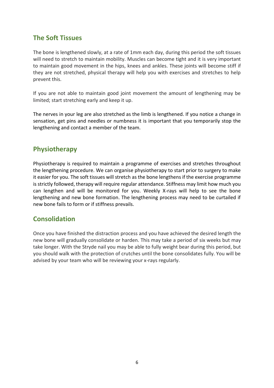## **The Soft Tissues**

The bone is lengthened slowly, at a rate of 1mm each day, during this period the soft tissues will need to stretch to maintain mobility. Muscles can become tight and it is very important to maintain good movement in the hips, knees and ankles. These joints will become stiff if they are not stretched, physical therapy will help you with exercises and stretches to help prevent this.

If you are not able to maintain good joint movement the amount of lengthening may be limited; start stretching early and keep it up.

The nerves in your leg are also stretched as the limb is lengthened. If you notice a change in sensation, get pins and needles or numbness it is important that you temporarily stop the lengthening and contact a member of the team.

## **Physiotherapy**

Physiotherapy is required to maintain a programme of exercises and stretches throughout the lengthening procedure. We can organise physiotherapy to start prior to surgery to make it easier for you. The soft tissues will stretch as the bone lengthens if the exercise programme is strictly followed, therapy will require regular attendance. Stiffness may limit how much you can lengthen and will be monitored for you. Weekly X-rays will help to see the bone lengthening and new bone formation. The lengthening process may need to be curtailed if new bone fails to form or if stiffness prevails.

## **Consolidation**

Once you have finished the distraction process and you have achieved the desired length the new bone will gradually consolidate or harden. This may take a period of six weeks but may take longer. With the Stryde nail you may be able to fully weight bear during this period, but you should walk with the protection of crutches until the bone consolidates fully. You will be advised by your team who will be reviewing your x-rays regularly.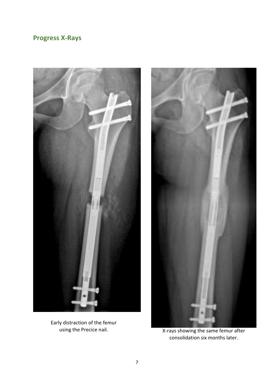## **Progress X-Rays**



Early distraction of the femur



using the Precice nail. X-rays showing the same femur after consolidation six months later.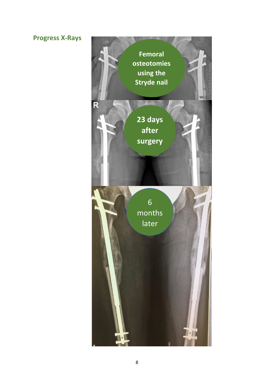## **Progress X-Rays**

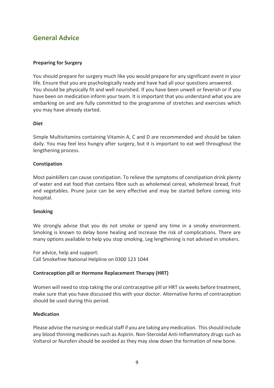## **General Advice**

#### **Preparing for Surgery**

You should prepare for surgery much like you would prepare for any significant event in your life. Ensure that you are psychologically ready and have had all your questions answered. You should be physically fit and well nourished. If you have been unwell or feverish or if you have been on medication inform your team. It is important that you understand what you are embarking on and are fully committed to the programme of stretches and exercises which you may have already started.

#### **Diet**

Simple Multivitamins containing Vitamin A, C and D are recommended and should be taken daily. You may feel less hungry after surgery, but it is important to eat well throughout the lengthening process.

#### **Constipation**

Most painkillers can cause constipation. To relieve the symptoms of constipation drink plenty of water and eat food that contains fibre such as wholemeal cereal, wholemeal bread, fruit and vegetables. Prune juice can be very effective and may be started before coming into hospital.

#### **Smoking**

We strongly advise that you do not smoke or spend any time in a smoky environment. Smoking is known to delay bone healing and increase the risk of complications. There are many options available to help you stop smoking. Leg lengthening is not advised in smokers.

For advice, help and support: Call Smokefree National Helpline on 0300 123 1044

#### **Contraception pill or Hormone Replacement Therapy (HRT)**

Women will need to stop taking the oral contraceptive pill or HRT six weeks before treatment, make sure that you have discussed this with your doctor. Alternative forms of contraception should be used during this period.

#### **Medication**

Please advise the nursing or medical staff if you are taking any medication. This should include any blood thinning medicines such as Aspirin. Non-Steroidal Anti-Inflammatory drugs such as Voltarol or Nurofen should be avoided as they may slow down the formation of new bone.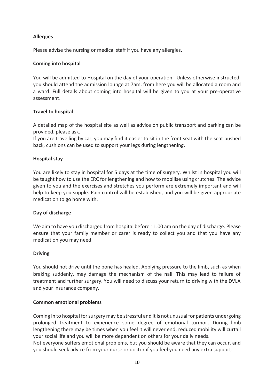#### **Allergies**

Please advise the nursing or medical staff if you have any allergies.

#### **Coming into hospital**

You will be admitted to Hospital on the day of your operation. Unless otherwise instructed, you should attend the admission lounge at 7am, from here you will be allocated a room and a ward. Full details about coming into hospital will be given to you at your pre-operative assessment.

#### **Travel to hospital**

A detailed map of the hospital site as well as advice on public transport and parking can be provided, please ask.

If you are travelling by car, you may find it easier to sit in the front seat with the seat pushed back, cushions can be used to support your legs during lengthening.

#### **Hospital stay**

You are likely to stay in hospital for 5 days at the time of surgery. Whilst in hospital you will be taught how to use the ERC for lengthening and how to mobilise using crutches. The advice given to you and the exercises and stretches you perform are extremely important and will help to keep you supple. Pain control will be established, and you will be given appropriate medication to go home with.

#### **Day of discharge**

We aim to have you discharged from hospital before 11.00 am on the day of discharge. Please ensure that your family member or carer is ready to collect you and that you have any medication you may need.

#### **Driving**

You should not drive until the bone has healed. Applying pressure to the limb, such as when braking suddenly, may damage the mechanism of the nail. This may lead to failure of treatment and further surgery. You will need to discuss your return to driving with the DVLA and your insurance company.

#### **Common emotional problems**

Coming in to hospital for surgery may be stressful and it is not unusual for patients undergoing prolonged treatment to experience some degree of emotional turmoil. During limb lengthening there may be times when you feel it will never end, reduced mobility will curtail your social life and you will be more dependent on others for your daily needs.

Not everyone suffers emotional problems, but you should be aware that they can occur, and you should seek advice from your nurse or doctor if you feel you need any extra support.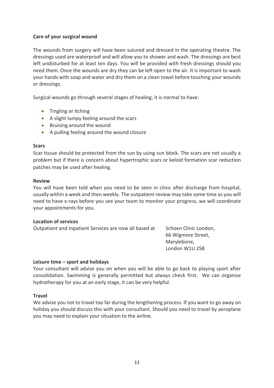#### **Care of your surgical wound**

The wounds from surgery will have been sutured and dressed in the operating theatre. The dressings used are waterproof and will allow you to shower and wash. The dressings are best left undisturbed for at least ten days. You will be provided with fresh dressings should you need them. Once the wounds are dry they can be left open to the air. It is important to wash your hands with soap and water and dry them on a clean towel before touching your wounds or dressings.

Surgical wounds go through several stages of healing, it is normal to have:

- Tingling or itching
- A slight lumpy feeling around the scars
- Bruising around the wound
- A pulling feeling around the wound closure

#### **Scars**

Scar tissue should be protected from the sun by using sun block. The scars are not usually a problem but if there is concern about hypertrophic scars or keloid formation scar reduction patches may be used after healing.

#### **Review**

You will have been told when you need to be seen in clinic after discharge from hospital, usually within a week and then weekly. The outpatient review may take some time as you will need to have x-rays before you see your team to monitor your progress, we will coordinate your appointments for you.

#### **Location of services**

Outpatient and Inpatient Services are now all based at Schoen Clinic London,

66 Wigmore Street, Marylebone, London W1U 2SB

#### **Leisure time – sport and holidays**

Your consultant will advise you on when you will be able to go back to playing sport after consolidation. Swimming is generally permitted but always check first. We can organise hydrotherapy for you at an early stage, it can be very helpful.

#### **Travel**

We advise you not to travel too far during the lengthening process. If you want to go away on holiday you should discuss this with your consultant. Should you need to travel by aeroplane you may need to explain your situation to the airline.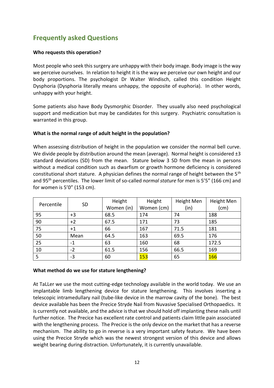## **Frequently asked Questions**

#### **Who requests this operation?**

Most people who seek this surgery are unhappy with their body image. Body image is the way we perceive ourselves. In relation to height it is the way we perceive our own height and our body proportions. The psychologist Dr Walter Windisch, called this condition Height Dysphoria (Dysphoria literally means unhappy, the opposite of euphoria). In other words, unhappy with your height.

Some patients also have Body Dysmorphic Disorder. They usually also need psychological support and medication but may be candidates for this surgery. Psychiatric consultation is warranted in this group.

#### **What is the normal range of adult height in the population?**

When assessing distribution of height in the population we consider the normal bell curve. We divide people by distribution around the mean (average). Normal height is considered  $\pm 3$ standard deviations (SD) from the mean. Stature below 3 SD from the mean in persons without a medical condition such as dwarfism or growth hormone deficiency is considered constitutional short stature. A physician defines the normal range of height between the  $5<sup>th</sup>$ and 95th percentiles. The lower limit of so-called *normal stature* for men is 5'5" (166 cm) and for women is 5'0" (153 cm).

| Percentile | <b>SD</b> | Height     | Height     | Height Men | Height Men |
|------------|-----------|------------|------------|------------|------------|
|            |           | Women (in) | Women (cm) | (in)       | (cm)       |
| 95         | $+3$      | 68.5       | 174        | 74         | 188        |
| 90         | $+2$      | 67.5       | 171        | 73         | 185        |
| 75         | $+1$      | 66         | 167        | 71.5       | 181        |
| 50         | Mean      | 64.5       | 163        | 69.5       | 176        |
| 25         | $-1$      | 63         | 160        | 68         | 172.5      |
| 10         | $-2$      | 61.5       | 156        | 66.5       | 169        |
| 5          | $-3$      | 60         | 153        | 65         | 166        |

#### **What method do we use for stature lengthening?**

At TaLLer we use the most cutting-edge technology available in the world today. We use an implantable limb lengthening device for stature lengthening. This involves inserting a telescopic intramedullary nail (tube-like device in the marrow cavity of the bone). The best device available has been the Precice Stryde Nail from Nuvasive Specialised Orthopaedics. It is currently not available, and the advice is that we should hold off implanting these nails until further notice. The Precice has excellent rate control and patients claim little pain associated with the lengthening process. The Precice is the only device on the market that has a reverse mechanism. The ability to go in reverse is a very important safety feature. We have been using the Precice Stryde which was the newest strongest version of this device and allows weight bearing during distraction. Unfortunately, it is currently unavailable.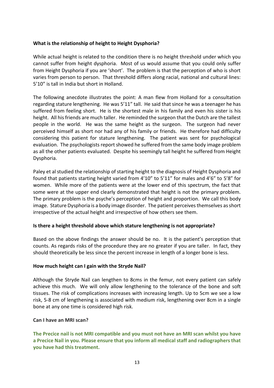#### **What is the relationship of height to Height Dysphoria?**

While actual height is related to the condition there is no height threshold under which you cannot suffer from height dysphoria. Most of us would assume that you could only suffer from Height Dysphoria if you are 'short'. The problem is that the perception of who is short varies from person to person. That threshold differs along racial, national and cultural lines: 5'10" is tall in India but short in Holland.

The following anecdote illustrates the point: A man flew from Holland for a consultation regarding stature lengthening. He was 5'11" tall. He said that since he was a teenager he has suffered from feeling short. He is the shortest male in his family and even his sister is his height. All his friends are much taller. He reminded the surgeon that the Dutch are the tallest people in the world. He was the same height as the surgeon. The surgeon had never perceived himself as short nor had any of his family or friends. He therefore had difficulty considering this patient for stature lengthening. The patient was sent for psychological evaluation. The psychologists report showed he suffered from the same body image problem as all the other patients evaluated. Despite his seemingly tall height he suffered from Height Dysphoria.

Paley et al studied the relationship of starting height to the diagnosis of Height Dysphoria and found that patients starting height varied from 4'10" to 5'11" for males and 4'6" to 5'8" for women. While more of the patients were at the lower end of this spectrum, the fact that some were at the upper end clearly demonstrated that height is not the primary problem. The primary problem is the psyche's perception of height and proportion. We call this body image. Stature Dysphoria is a body image disorder. The patient perceives themselves as short irrespective of the actual height and irrespective of how others see them.

#### **Is there a height threshold above which stature lengthening is not appropriate?**

Based on the above findings the answer should be no. It is the patient's perception that counts. As regards risks of the procedure they are no greater if you are taller. In fact, they should theoretically be less since the percent increase in length of a longer bone is less.

#### **How much height can I gain with the Stryde Nail?**

Although the Stryde Nail can lengthen to 8cms in the femur, not every patient can safely achieve this much. We will only allow lengthening to the tolerance of the bone and soft tissues. The risk of complications increases with increasing length. Up to 5cm we see a low risk, 5-8 cm of lengthening is associated with medium risk, lengthening over 8cm in a single bone at any one time is considered high risk.

#### **Can I have an MRI scan?**

**The Precice nail is not MRI compatible and you must not have an MRI scan whilst you have a Precice Nail in you. Please ensure that you inform all medical staff and radiographers that you have had this treatment.**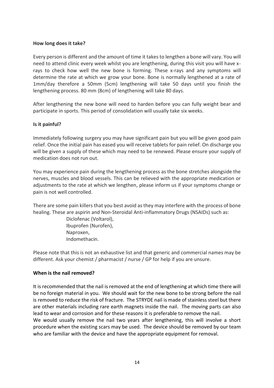#### **How long does it take?**

Every person is different and the amount of time it takes to lengthen a bone will vary. You will need to attend clinic every week whilst you are lengthening, during this visit you will have xrays to check how well the new bone is forming. These x-rays and any symptoms will determine the rate at which we grow your bone. Bone is normally lengthened at a rate of 1mm/day therefore a 50mm (5cm) lengthening will take 50 days until you finish the lengthening process. 80 mm (8cm) of lengthening will take 80 days.

After lengthening the new bone will need to harden before you can fully weight bear and participate in sports. This period of consolidation will usually take six weeks.

#### **Is it painful?**

Immediately following surgery you may have significant pain but you will be given good pain relief. Once the initial pain has eased you will receive tablets for pain relief. On discharge you will be given a supply of these which may need to be renewed. Please ensure your supply of medication does not run out.

You may experience pain during the lengthening process as the bone stretches alongside the nerves, muscles and blood vessels. This can be relieved with the appropriate medication or adjustments to the rate at which we lengthen, please inform us if your symptoms change or pain is not well controlled.

There are some pain killers that you best avoid as they may interfere with the process of bone healing. These are aspirin and Non-Steroidal Anti-inflammatory Drugs (NSAIDs) such as:

> Diclofenac (Voltarol), Ibuprofen (Nurofen), Naproxen, Indomethacin.

Please note that this is not an exhaustive list and that generic and commercial names may be different. Ask your chemist / pharmacist / nurse / GP for help if you are unsure.

#### **When is the nail removed?**

It is recommended that the nail is removed at the end of lengthening at which time there will be no foreign material in you. We should wait for the new bone to be strong before the nail is removed to reduce the risk of fracture. The STRYDE nail is made of stainless steel but there are other materials including rare earth magnets inside the nail. The moving parts can also lead to wear and corrosion and for these reasons it is preferable to remove the nail. We would usually remove the nail two years after lengthening, this will involve a short procedure when the existing scars may be used. The device should be removed by our team

who are familiar with the device and have the appropriate equipment for removal.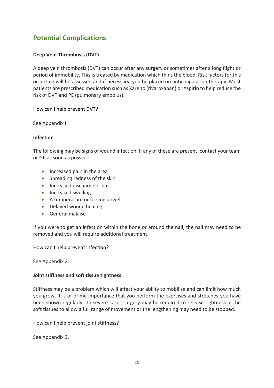## **Potential Complications**

#### **Deep Vein Thrombosis (DVT)**

A deep vein thrombosis (DVT) can occur after any surgery or sometimes after a long flight or period of immobility. This is treated by medication which thins the blood. Risk factors for this occurring will be assessed and if necessary, you be placed on anticoagulation therapy. Most patients are prescribed medication such as Xarelto (rivaroxaban) or Aspirin to help reduce the risk of DVT and PE (pulmonary embolus).

#### How can I help prevent DVT?

See Appendix I.

#### **Infection**

The following may be signs of wound infection. If any of these are present, contact your team or GP as soon as possible

- Increased pain in the area
- Spreading redness of the skin
- Increased discharge or pus
- Increased swelling
- A temperature or feeling unwell
- Delayed wound healing
- General malaise

If you were to get an infection within the bone or around the nail, the nail may need to be removed and you will require additional treatment.

#### How can I help prevent infection?

See Appendix 2.

#### **Joint stiffness and soft tissue tightness**

Stiffness may be a problem which will affect your ability to mobilise and can limit how much you grow. It is of prime importance that you perform the exercises and stretches you have been shown regularly. In severe cases surgery may be required to release tightness in the soft tissues to allow a full range of movement or the lengthening may need to be stopped.

How can I help prevent joint stiffness?

See Appendix 3.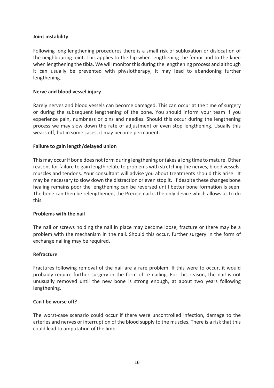#### **Joint instability**

Following long lengthening procedures there is a small risk of subluxation or dislocation of the neighbouring joint. This applies to the hip when lengthening the femur and to the knee when lengthening the tibia. We will monitor this during the lengthening process and although it can usually be prevented with physiotherapy, it may lead to abandoning further lengthening.

#### **Nerve and blood vessel injury**

Rarely nerves and blood vessels can become damaged. This can occur at the time of surgery or during the subsequent lengthening of the bone. You should inform your team if you experience pain, numbness or pins and needles. Should this occur during the lengthening process we may slow down the rate of adjustment or even stop lengthening. Usually this wears off, but in some cases, it may become permanent.

#### **Failure to gain length/delayed union**

This may occur if bone does not form during lengthening or takes a long time to mature. Other reasons for failure to gain length relate to problems with stretching the nerves, blood vessels, muscles and tendons. Your consultant will advise you about treatments should this arise. It may be necessary to slow down the distraction or even stop it. If despite these changes bone healing remains poor the lengthening can be reversed until better bone formation is seen. The bone can then be relengthened, the Precice nail is the only device which allows us to do this.

#### **Problems with the nail**

The nail or screws holding the nail in place may become loose, fracture or there may be a problem with the mechanism in the nail. Should this occur, further surgery in the form of exchange nailing may be required.

#### **Refracture**

Fractures following removal of the nail are a rare problem. If this were to occur, it would probably require further surgery in the form of re-nailing. For this reason, the nail is not unusually removed until the new bone is strong enough, at about two years following lengthening.

#### **Can I be worse off?**

The worst-case scenario could occur if there were uncontrolled infection, damage to the arteries and nerves or interruption of the blood supply to the muscles. There is a risk that this could lead to amputation of the limb.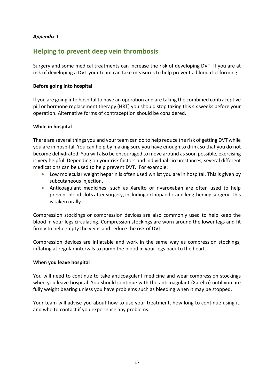#### *Appendix 1*

## **Helping to prevent deep vein thrombosis**

Surgery and some medical treatments can increase the risk of developing DVT. If you are at risk of developing a DVT your team can take measures to help prevent a blood clot forming.

#### **Before going into hospital**

If you are going into hospital to have an operation and are taking the combined contraceptive pill or hormone replacement therapy (HRT) you should stop taking this six weeks before your operation. Alternative forms of contraception should be considered.

#### **While in hospital**

There are several things you and your team can do to help reduce the risk of getting DVT while you are in hospital. You can help by making sure you have enough to drink so that you do not become dehydrated. You will also be encouraged to move around as soon possible, exercising is very helpful. Depending on your risk factors and individual circumstances, several different medications can be used to help prevent DVT. For example:

- Low molecular weight heparin is often used whilst you are in hospital. This is given by subcutaneous injection.
- Anticoagulant medicines, such as Xarelto or rivaroxaban are often used to help prevent blood clots after surgery, including orthopaedic and lengthening surgery. This is taken orally.

Compression stockings or compression devices are also commonly used to help keep the blood in your legs circulating. Compression stockings are worn around the lower legs and fit firmly to help empty the veins and reduce the risk of DVT.

Compression devices are inflatable and work in the same way as compression stockings, inflating at regular intervals to pump the blood in your legs back to the heart.

#### **When you leave hospital**

You will need to continue to take anticoagulant medicine and wear compression stockings when you leave hospital. You should continue with the anticoagulant (Xarelto) until you are fully weight bearing unless you have problems such as bleeding when it may be stopped.

Your team will advise you about how to use your treatment, how long to continue using it, and who to contact if you experience any problems.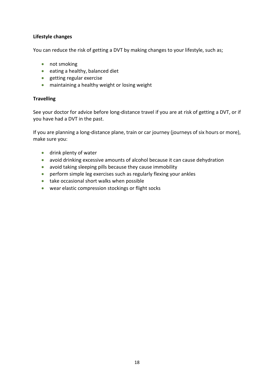#### **Lifestyle changes**

You can reduce the risk of getting a DVT by making changes to your lifestyle, such as;

- not smoking
- eating a healthy, balanced diet
- getting regular exercise
- maintaining a healthy weight or losing weight

#### **Travelling**

See your doctor for advice before long-distance travel if you are at risk of getting a DVT, or if you have had a DVT in the past.

If you are planning a long-distance plane, train or car journey (journeys of six hours or more), make sure you:

- drink plenty of water
- avoid drinking excessive amounts of alcohol because it can cause dehydration
- avoid taking sleeping pills because they cause immobility
- perform simple leg exercises such as regularly flexing your ankles
- take occasional short walks when possible
- wear elastic compression stockings or flight socks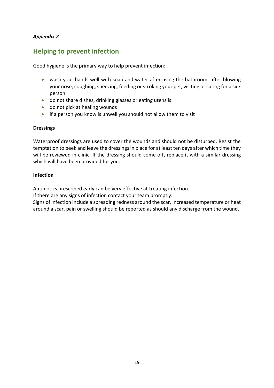#### *Appendix 2*

## **Helping to prevent infection**

Good hygiene is the primary way to help prevent infection:

- wash your hands well with soap and water after using the bathroom, after blowing your nose, coughing, sneezing, feeding or stroking your pet, visiting or caring for a sick person
- do not share dishes, drinking glasses or eating utensils
- do not pick at healing wounds
- if a person you know is unwell you should not allow them to visit

#### **Dressings**

Waterproof dressings are used to cover the wounds and should not be disturbed. Resist the temptation to peek and leave the dressings in place for at least ten days after which time they will be reviewed in clinic. If the dressing should come off, replace it with a similar dressing which will have been provided for you.

#### **Infection**

Antibiotics prescribed early can be very effective at treating infection.

If there are any signs of infection contact your team promptly.

Signs of infection include a spreading redness around the scar, increased temperature or heat around a scar, pain or swelling should be reported as should any discharge from the wound.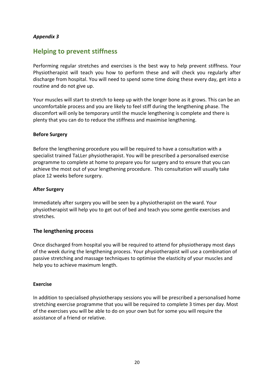#### *Appendix 3*

## **Helping to prevent stiffness**

Performing regular stretches and exercises is the best way to help prevent stiffness. Your Physiotherapist will teach you how to perform these and will check you regularly after discharge from hospital. You will need to spend some time doing these every day, get into a routine and do not give up.

Your muscles will start to stretch to keep up with the longer bone as it grows. This can be an uncomfortable process and you are likely to feel stiff during the lengthening phase. The discomfort will only be temporary until the muscle lengthening is complete and there is plenty that you can do to reduce the stiffness and maximise lengthening.

#### **Before Surgery**

Before the lengthening procedure you will be required to have a consultation with a specialist trained TaLLer physiotherapist. You will be prescribed a personalised exercise programme to complete at home to prepare you for surgery and to ensure that you can achieve the most out of your lengthening procedure. This consultation will usually take place 12 weeks before surgery.

#### **After Surgery**

Immediately after surgery you will be seen by a physiotherapist on the ward. Your physiotherapist will help you to get out of bed and teach you some gentle exercises and stretches.

#### **The lengthening process**

Once discharged from hospital you will be required to attend for physiotherapy most days of the week during the lengthening process. Your physiotherapist will use a combination of passive stretching and massage techniques to optimise the elasticity of your muscles and help you to achieve maximum length.

#### **Exercise**

In addition to specialised physiotherapy sessions you will be prescribed a personalised home stretching exercise programme that you will be required to complete 3 times per day. Most of the exercises you will be able to do on your own but for some you will require the assistance of a friend or relative.